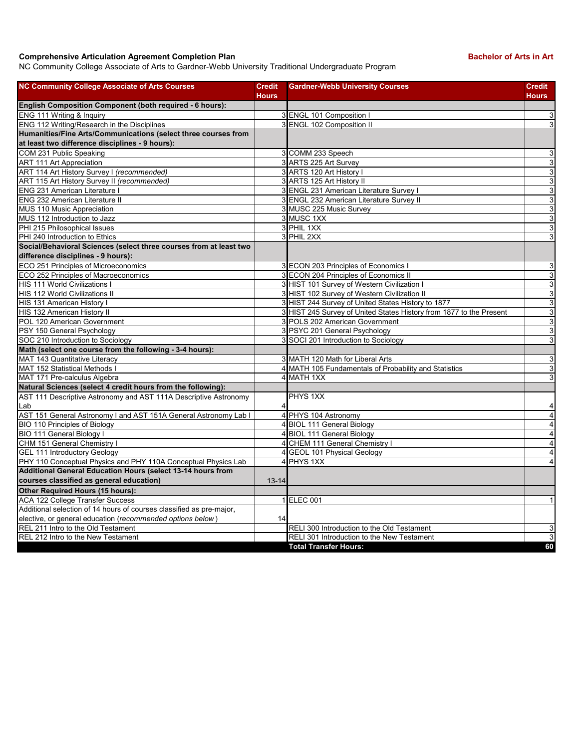## **Comprehensive Articulation Agreement Completion Plan Bachelor of Arts in Art Bachelor of Arts in Art**

NC Community College Associate of Arts to Gardner-Webb University Traditional Undergraduate Program

| <b>NC Community College Associate of Arts Courses</b>                | <b>Credit</b><br><b>Hours</b> | <b>Gardner-Webb University Courses</b>                              | <b>Credit</b><br><b>Hours</b> |
|----------------------------------------------------------------------|-------------------------------|---------------------------------------------------------------------|-------------------------------|
| English Composition Component (both required - 6 hours):             |                               |                                                                     |                               |
| ENG 111 Writing & Inquiry                                            |                               | 3 ENGL 101 Composition I                                            | 3                             |
| ENG 112 Writing/Research in the Disciplines                          |                               | 3 ENGL 102 Composition II                                           | 3                             |
| Humanities/Fine Arts/Communications (select three courses from       |                               |                                                                     |                               |
| at least two difference disciplines - 9 hours):                      |                               |                                                                     |                               |
| COM 231 Public Speaking                                              |                               | 3 COMM 233 Speech                                                   | 3                             |
| <b>ART 111 Art Appreciation</b>                                      |                               | 3 ARTS 225 Art Survey                                               | 3                             |
| ART 114 Art History Survey I (recommended)                           |                               | 3 ARTS 120 Art History I                                            | $\overline{3}$                |
| ART 115 Art History Survey II (recommended)                          |                               | 3 ARTS 125 Art History II                                           | 3                             |
| <b>ENG 231 American Literature I</b>                                 |                               | 3 ENGL 231 American Literature Survey I                             | 3                             |
| <b>ENG 232 American Literature II</b>                                |                               | 3 ENGL 232 American Literature Survey II                            | $\overline{3}$                |
| MUS 110 Music Appreciation                                           |                               | 3 MUSC 225 Music Survey                                             | 3                             |
| MUS 112 Introduction to Jazz                                         |                               | 3 MUSC 1XX                                                          | 3                             |
| PHI 215 Philosophical Issues                                         |                               | 3 PHIL 1XX                                                          | 3                             |
| PHI 240 Introduction to Ethics                                       |                               | 3 PHIL 2XX                                                          | 3                             |
| Social/Behavioral Sciences (select three courses from at least two   |                               |                                                                     |                               |
| difference disciplines - 9 hours):                                   |                               |                                                                     |                               |
| ECO 251 Principles of Microeconomics                                 |                               | 3 ECON 203 Principles of Economics I                                | 3                             |
| ECO 252 Principles of Macroeconomics                                 |                               | 3 ECON 204 Principles of Economics II                               | 3                             |
| <b>HIS 111 World Civilizations I</b>                                 |                               | 3 HIST 101 Survey of Western Civilization I                         | 3                             |
| HIS 112 World Civilizations II                                       |                               | 3 HIST 102 Survey of Western Civilization II                        | 3                             |
| HIS 131 American History I                                           |                               | 3 HIST 244 Survey of United States History to 1877                  | 3                             |
| HIS 132 American History II                                          |                               | 3 HIST 245 Survey of United States History from 1877 to the Present | 3                             |
| POL 120 American Government                                          |                               | 3 POLS 202 American Government                                      | 3                             |
| PSY 150 General Psychology                                           |                               | 3 PSYC 201 General Psychology                                       | 3                             |
| SOC 210 Introduction to Sociology                                    |                               | 3 SOCI 201 Introduction to Sociology                                | 3                             |
| Math (select one course from the following - 3-4 hours):             |                               |                                                                     |                               |
| MAT 143 Quantitative Literacy                                        |                               | 3 MATH 120 Math for Liberal Arts                                    | 3                             |
| MAT 152 Statistical Methods I                                        |                               | 4 MATH 105 Fundamentals of Probability and Statistics               | 3                             |
| MAT 171 Pre-calculus Algebra                                         |                               | 4 MATH 1XX                                                          | 3                             |
| Natural Sciences (select 4 credit hours from the following):         |                               |                                                                     |                               |
| AST 111 Descriptive Astronomy and AST 111A Descriptive Astronomy     |                               | PHYS 1XX                                                            |                               |
| Lab                                                                  |                               |                                                                     | 4                             |
| AST 151 General Astronomy I and AST 151A General Astronomy Lab I     |                               | 4 PHYS 104 Astronomy                                                | $\overline{4}$                |
| <b>BIO 110 Principles of Biology</b>                                 |                               | 4 BIOL 111 General Biology                                          | $\overline{4}$                |
| BIO 111 General Biology I                                            |                               | 4 BIOL 111 General Biology                                          | $\overline{4}$                |
| CHM 151 General Chemistry I                                          |                               | 4 CHEM 111 General Chemistry I                                      | $\overline{4}$                |
| <b>GEL 111 Introductory Geology</b>                                  |                               | 4 GEOL 101 Physical Geology                                         | $\overline{4}$                |
| PHY 110 Conceptual Physics and PHY 110A Conceptual Physics Lab       |                               | 4 PHYS 1XX                                                          | $\overline{4}$                |
| Additional General Education Hours (select 13-14 hours from          |                               |                                                                     |                               |
| courses classified as general education)                             | $13 - 14$                     |                                                                     |                               |
| Other Required Hours (15 hours):                                     |                               |                                                                     |                               |
| ACA 122 College Transfer Success                                     |                               | 1 ELEC 001                                                          | $\mathbf{1}$                  |
| Additional selection of 14 hours of courses classified as pre-major, |                               |                                                                     |                               |
| elective, or general education (recommended options below)           | 14                            |                                                                     |                               |
| REL 211 Intro to the Old Testament                                   |                               | RELI 300 Introduction to the Old Testament                          | 3                             |
| REL 212 Intro to the New Testament                                   |                               | RELI 301 Introduction to the New Testament                          | $\overline{3}$                |
|                                                                      |                               | <b>Total Transfer Hours:</b>                                        | 60                            |